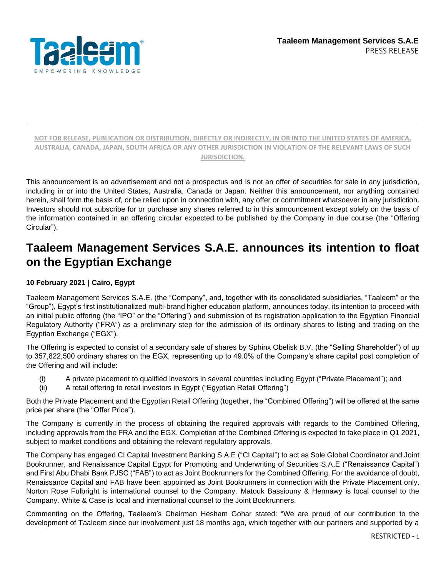

This announcement is an advertisement and not a prospectus and is not an offer of securities for sale in any jurisdiction, including in or into the United States, Australia, Canada or Japan. Neither this announcement, nor anything contained herein, shall form the basis of, or be relied upon in connection with, any offer or commitment whatsoever in any jurisdiction. Investors should not subscribe for or purchase any shares referred to in this announcement except solely on the basis of the information contained in an offering circular expected to be published by the Company in due course (the "Offering Circular").

# **Taaleem Management Services S.A.E. announces its intention to float on the Egyptian Exchange**

#### **10 February 2021 | Cairo, Egypt**

Taaleem Management Services S.A.E. (the "Company", and, together with its consolidated subsidiaries, "Taaleem" or the "Group"), Egypt's first institutionalized multi-brand higher education platform, announces today, its intention to proceed with an initial public offering (the "IPO" or the "Offering") and submission of its registration application to the Egyptian Financial Regulatory Authority ("FRA") as a preliminary step for the admission of its ordinary shares to listing and trading on the Egyptian Exchange ("EGX").

The Offering is expected to consist of a secondary sale of shares by Sphinx Obelisk B.V. (the "Selling Shareholder") of up to 357,822,500 ordinary shares on the EGX, representing up to 49.0% of the Company's share capital post completion of the Offering and will include:

- (i) A private placement to qualified investors in several countries including Egypt ("Private Placement"); and
- (ii) A retail offering to retail investors in Egypt ("Egyptian Retail Offering")

Both the Private Placement and the Egyptian Retail Offering (together, the "Combined Offering") will be offered at the same price per share (the "Offer Price").

The Company is currently in the process of obtaining the required approvals with regards to the Combined Offering, including approvals from the FRA and the EGX. Completion of the Combined Offering is expected to take place in Q1 2021, subject to market conditions and obtaining the relevant regulatory approvals.

The Company has engaged CI Capital Investment Banking S.A.E ("CI Capital") to act as Sole Global Coordinator and Joint Bookrunner, and Renaissance Capital Egypt for Promoting and Underwriting of Securities S.A.E ("Renaissance Capital") and First Abu Dhabi Bank PJSC ("FAB") to act as Joint Bookrunners for the Combined Offering. For the avoidance of doubt, Renaissance Capital and FAB have been appointed as Joint Bookrunners in connection with the Private Placement only. Norton Rose Fulbright is international counsel to the Company. Matouk Bassiouny & Hennawy is local counsel to the Company. White & Case is local and international counsel to the Joint Bookrunners.

Commenting on the Offering, Taaleem's Chairman Hesham Gohar stated: "We are proud of our contribution to the development of Taaleem since our involvement just 18 months ago, which together with our partners and supported by a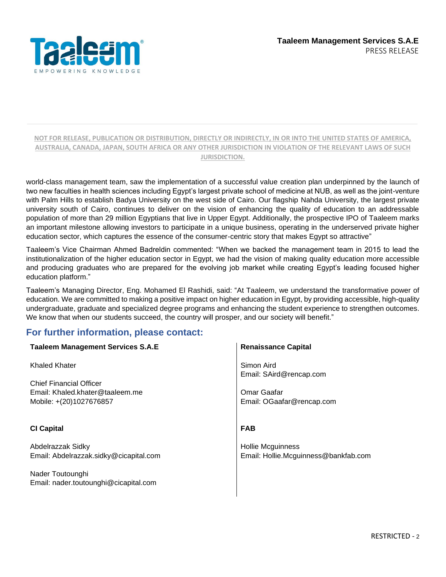

world-class management team, saw the implementation of a successful value creation plan underpinned by the launch of two new faculties in health sciences including Egypt's largest private school of medicine at NUB, as well as the joint-venture with Palm Hills to establish Badya University on the west side of Cairo. Our flagship Nahda University, the largest private university south of Cairo, continues to deliver on the vision of enhancing the quality of education to an addressable population of more than 29 million Egyptians that live in Upper Egypt. Additionally, the prospective IPO of Taaleem marks an important milestone allowing investors to participate in a unique business, operating in the underserved private higher education sector, which captures the essence of the consumer-centric story that makes Egypt so attractive"

Taaleem's Vice Chairman Ahmed Badreldin commented: "When we backed the management team in 2015 to lead the institutionalization of the higher education sector in Egypt, we had the vision of making quality education more accessible and producing graduates who are prepared for the evolving job market while creating Egypt's leading focused higher education platform."

Taaleem's Managing Director, Eng. Mohamed El Rashidi, said: "At Taaleem, we understand the transformative power of education. We are committed to making a positive impact on higher education in Egypt, by providing accessible, high-quality undergraduate, graduate and specialized degree programs and enhancing the student experience to strengthen outcomes. We know that when our students succeed, the country will prosper, and our society will benefit."

### **For further information, please contact:**

| <b>Taaleem Management Services S.A.E</b> | <b>Renaissance Capital</b>           |
|------------------------------------------|--------------------------------------|
| Khaled Khater                            | Simon Aird                           |
| <b>Chief Financial Officer</b>           | Email: SAird@rencap.com              |
| Email: Khaled.khater@taaleem.me          | Omar Gaafar                          |
| Mobile: +(20)1027676857                  | Email: OGaafar@rencap.com            |
|                                          |                                      |
| <b>CI Capital</b>                        | <b>FAB</b>                           |
| Abdelrazzak Sidky                        | <b>Hollie Mcguinness</b>             |
| Email: Abdelrazzak.sidky@cicapital.com   | Email: Hollie.Mcguinness@bankfab.com |
| Nader Toutounghi                         |                                      |
| Email: nader.toutounghi@cicapital.com    |                                      |
|                                          |                                      |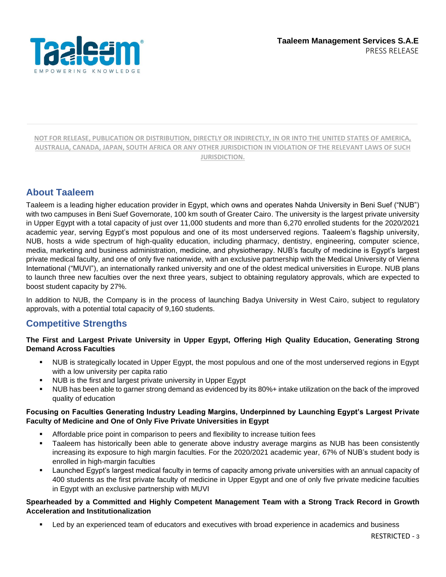

### **About Taaleem**

Taaleem is a leading higher education provider in Egypt, which owns and operates Nahda University in Beni Suef ("NUB") with two campuses in Beni Suef Governorate, 100 km south of Greater Cairo. The university is the largest private university in Upper Egypt with a total capacity of just over 11,000 students and more than 6,270 enrolled students for the 2020/2021 academic year, serving Egypt's most populous and one of its most underserved regions. Taaleem's flagship university, NUB, hosts a wide spectrum of high-quality education, including pharmacy, dentistry, engineering, computer science, media, marketing and business administration, medicine, and physiotherapy. NUB's faculty of medicine is Egypt's largest private medical faculty, and one of only five nationwide, with an exclusive partnership with the Medical University of Vienna International ("MUVI"), an internationally ranked university and one of the oldest medical universities in Europe. NUB plans to launch three new faculties over the next three years, subject to obtaining regulatory approvals, which are expected to boost student capacity by 27%.

In addition to NUB, the Company is in the process of launching Badya University in West Cairo, subject to regulatory approvals, with a potential total capacity of 9,160 students.

### **Competitive Strengths**

#### **The First and Largest Private University in Upper Egypt, Offering High Quality Education, Generating Strong Demand Across Faculties**

- NUB is strategically located in Upper Egypt, the most populous and one of the most underserved regions in Egypt with a low university per capita ratio
- NUB is the first and largest private university in Upper Egypt
- NUB has been able to garner strong demand as evidenced by its 80%+ intake utilization on the back of the improved quality of education

#### **Focusing on Faculties Generating Industry Leading Margins, Underpinned by Launching Egypt's Largest Private Faculty of Medicine and One of Only Five Private Universities in Egypt**

- Affordable price point in comparison to peers and flexibility to increase tuition fees
- Taaleem has historically been able to generate above industry average margins as NUB has been consistently increasing its exposure to high margin faculties. For the 2020/2021 academic year, 67% of NUB's student body is enrolled in high-margin faculties
- Launched Egypt's largest medical faculty in terms of capacity among private universities with an annual capacity of 400 students as the first private faculty of medicine in Upper Egypt and one of only five private medicine faculties in Egypt with an exclusive partnership with MUVI

#### **Spearheaded by a Committed and Highly Competent Management Team with a Strong Track Record in Growth Acceleration and Institutionalization**

Led by an experienced team of educators and executives with broad experience in academics and business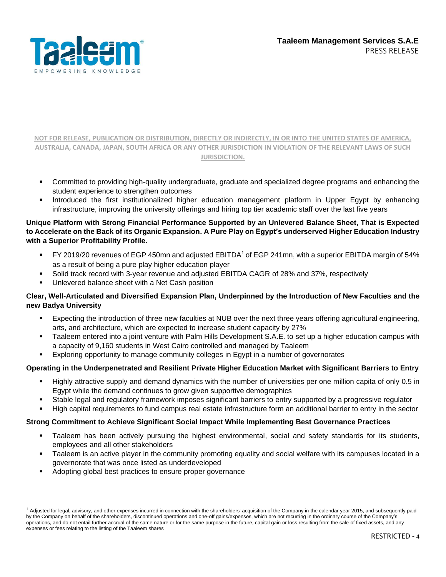

- Committed to providing high-quality undergraduate, graduate and specialized degree programs and enhancing the student experience to strengthen outcomes
- Introduced the first institutionalized higher education management platform in Upper Egypt by enhancing infrastructure, improving the university offerings and hiring top tier academic staff over the last five years

#### **Unique Platform with Strong Financial Performance Supported by an Unlevered Balance Sheet, That is Expected to Accelerate on the Back of its Organic Expansion. A Pure Play on Egypt's underserved Higher Education Industry with a Superior Profitability Profile.**

- $FY$  2019/20 revenues of EGP 450mn and adjusted EBITDA<sup>1</sup> of EGP 241mn, with a superior EBITDA margin of 54% as a result of being a pure play higher education player
- Solid track record with 3-year revenue and adjusted EBITDA CAGR of 28% and 37%, respectively
- Unlevered balance sheet with a Net Cash position

#### **Clear, Well-Articulated and Diversified Expansion Plan, Underpinned by the Introduction of New Faculties and the new Badya University**

- Expecting the introduction of three new faculties at NUB over the next three years offering agricultural engineering, arts, and architecture, which are expected to increase student capacity by 27%
- Taaleem entered into a joint venture with Palm Hills Development S.A.E. to set up a higher education campus with a capacity of 9,160 students in West Cairo controlled and managed by Taaleem
- Exploring opportunity to manage community colleges in Egypt in a number of governorates

#### **Operating in the Underpenetrated and Resilient Private Higher Education Market with Significant Barriers to Entry**

- Highly attractive supply and demand dynamics with the number of universities per one million capita of only 0.5 in Egypt while the demand continues to grow given supportive demographics
- Stable legal and regulatory framework imposes significant barriers to entry supported by a progressive regulator
- High capital requirements to fund campus real estate infrastructure form an additional barrier to entry in the sector

#### **Strong Commitment to Achieve Significant Social Impact While Implementing Best Governance Practices**

- Taaleem has been actively pursuing the highest environmental, social and safety standards for its students, employees and all other stakeholders
- Taaleem is an active player in the community promoting equality and social welfare with its campuses located in a governorate that was once listed as underdeveloped
- Adopting global best practices to ensure proper governance

<sup>&</sup>lt;sup>1</sup> Adjusted for legal, advisory, and other expenses incurred in connection with the shareholders' acquisition of the Company in the calendar year 2015, and subsequently paid by the Company on behalf of the shareholders, discontinued operations and one-off gains/expenses, which are not recurring in the ordinary course of the Company's operations, and do not entail further accrual of the same nature or for the same purpose in the future, capital gain or loss resulting from the sale of fixed assets, and any expenses or fees relating to the listing of the Taaleem shares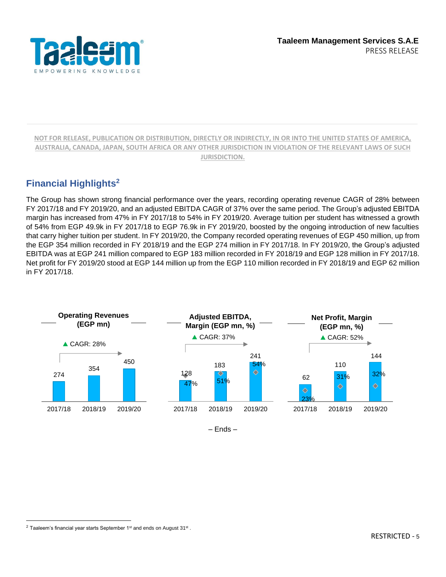

## **Financial Highlights<sup>2</sup>**

The Group has shown strong financial performance over the years, recording operating revenue CAGR of 28% between FY 2017/18 and FY 2019/20, and an adjusted EBITDA CAGR of 37% over the same period. The Group's adjusted EBITDA margin has increased from 47% in FY 2017/18 to 54% in FY 2019/20. Average tuition per student has witnessed a growth of 54% from EGP 49.9k in FY 2017/18 to EGP 76.9k in FY 2019/20, boosted by the ongoing introduction of new faculties that carry higher tuition per student. In FY 2019/20, the Company recorded operating revenues of EGP 450 million, up from the EGP 354 million recorded in FY 2018/19 and the EGP 274 million in FY 2017/18. In FY 2019/20, the Group's adjusted EBITDA was at EGP 241 million compared to EGP 183 million recorded in FY 2018/19 and EGP 128 million in FY 2017/18. Net profit for FY 2019/20 stood at EGP 144 million up from the EGP 110 million recorded in FY 2018/19 and EGP 62 million in FY 2017/18.



– Ends –

 $^2$  Taaleem's financial year starts September 1st and ends on August 31st .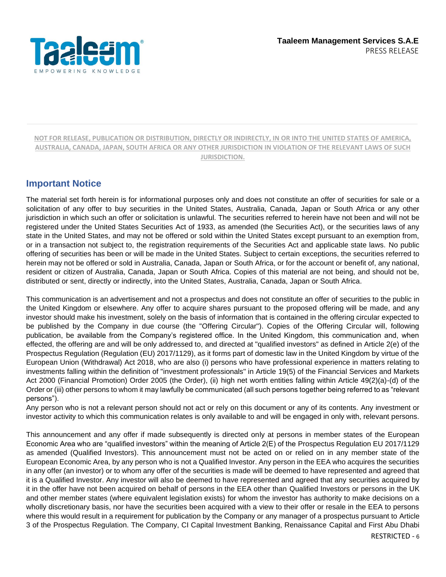

### **Important Notice**

The material set forth herein is for informational purposes only and does not constitute an offer of securities for sale or a solicitation of any offer to buy securities in the United States, Australia, Canada, Japan or South Africa or any other jurisdiction in which such an offer or solicitation is unlawful. The securities referred to herein have not been and will not be registered under the United States Securities Act of 1933, as amended (the Securities Act), or the securities laws of any state in the United States, and may not be offered or sold within the United States except pursuant to an exemption from, or in a transaction not subject to, the registration requirements of the Securities Act and applicable state laws. No public offering of securities has been or will be made in the United States. Subject to certain exceptions, the securities referred to herein may not be offered or sold in Australia, Canada, Japan or South Africa, or for the account or benefit of, any national, resident or citizen of Australia, Canada, Japan or South Africa. Copies of this material are not being, and should not be, distributed or sent, directly or indirectly, into the United States, Australia, Canada, Japan or South Africa.

This communication is an advertisement and not a prospectus and does not constitute an offer of securities to the public in the United Kingdom or elsewhere. Any offer to acquire shares pursuant to the proposed offering will be made, and any investor should make his investment, solely on the basis of information that is contained in the offering circular expected to be published by the Company in due course (the "Offering Circular"). Copies of the Offering Circular will, following publication, be available from the Company's registered office. In the United Kingdom, this communication and, when effected, the offering are and will be only addressed to, and directed at "qualified investors" as defined in Article 2(e) of the Prospectus Regulation (Regulation (EU) 2017/1129), as it forms part of domestic law in the United Kingdom by virtue of the European Union (Withdrawal) Act 2018, who are also (i) persons who have professional experience in matters relating to investments falling within the definition of "investment professionals" in Article 19(5) of the Financial Services and Markets Act 2000 (Financial Promotion) Order 2005 (the Order), (ii) high net worth entities falling within Article 49(2)(a)-(d) of the Order or (iii) other persons to whom it may lawfully be communicated (all such persons together being referred to as "relevant persons").

Any person who is not a relevant person should not act or rely on this document or any of its contents. Any investment or investor activity to which this communication relates is only available to and will be engaged in only with, relevant persons.

This announcement and any offer if made subsequently is directed only at persons in member states of the European Economic Area who are "qualified investors" within the meaning of Article 2(E) of the Prospectus Regulation EU 2017/1129 as amended (Qualified Investors). This announcement must not be acted on or relied on in any member state of the European Economic Area, by any person who is not a Qualified Investor. Any person in the EEA who acquires the securities in any offer (an investor) or to whom any offer of the securities is made will be deemed to have represented and agreed that it is a Qualified Investor. Any investor will also be deemed to have represented and agreed that any securities acquired by it in the offer have not been acquired on behalf of persons in the EEA other than Qualified Investors or persons in the UK and other member states (where equivalent legislation exists) for whom the investor has authority to make decisions on a wholly discretionary basis, nor have the securities been acquired with a view to their offer or resale in the EEA to persons where this would result in a requirement for publication by the Company or any manager of a prospectus pursuant to Article 3 of the Prospectus Regulation. The Company, CI Capital Investment Banking, Renaissance Capital and First Abu Dhabi